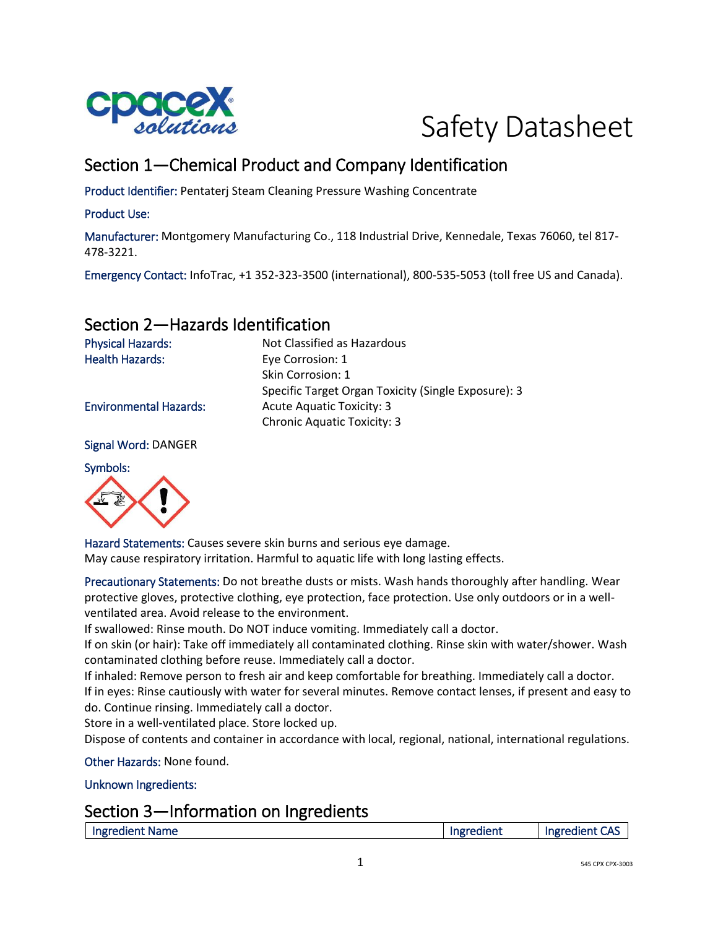



# Section 1—Chemical Product and Company Identification

Product Identifier: Pentaterj Steam Cleaning Pressure Washing Concentrate

#### Product Use:

Manufacturer: Montgomery Manufacturing Co., 118 Industrial Drive, Kennedale, Texas 76060, tel 817- 478-3221.

Emergency Contact: InfoTrac, +1 352-323-3500 (international), 800-535-5053 (toll free US and Canada).

### Section 2—Hazards Identification

Physical Hazards: Not Classified as Hazardous Health Hazards: Eye Corrosion: 1 Skin Corrosion: 1 Specific Target Organ Toxicity (Single Exposure): 3 Environmental Hazards: Acute Aquatic Toxicity: 3 Chronic Aquatic Toxicity: 3

Signal Word: DANGER

Symbols:



Hazard Statements: Causes severe skin burns and serious eye damage. May cause respiratory irritation. Harmful to aquatic life with long lasting effects.

Precautionary Statements: Do not breathe dusts or mists. Wash hands thoroughly after handling. Wear protective gloves, protective clothing, eye protection, face protection. Use only outdoors or in a wellventilated area. Avoid release to the environment.

If swallowed: Rinse mouth. Do NOT induce vomiting. Immediately call a doctor.

If on skin (or hair): Take off immediately all contaminated clothing. Rinse skin with water/shower. Wash contaminated clothing before reuse. Immediately call a doctor.

If inhaled: Remove person to fresh air and keep comfortable for breathing. Immediately call a doctor. If in eyes: Rinse cautiously with water for several minutes. Remove contact lenses, if present and easy to do. Continue rinsing. Immediately call a doctor.

Store in a well-ventilated place. Store locked up.

Dispose of contents and container in accordance with local, regional, national, international regulations.

Other Hazards: None found.

Unknown Ingredients:

#### Section 3—Information on Ingredients

| Ingredient Name | Ingredient | Ingredient<br>הר |
|-----------------|------------|------------------|
|                 |            |                  |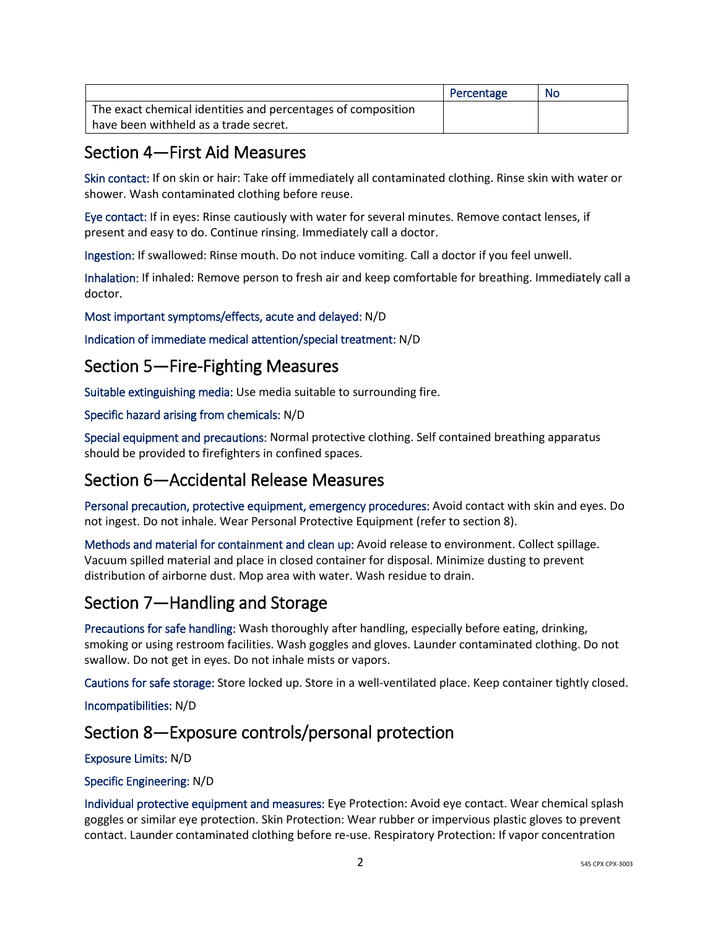|                                                              | Percentage | No |
|--------------------------------------------------------------|------------|----|
| The exact chemical identities and percentages of composition |            |    |
| have been withheld as a trade secret.                        |            |    |

### Section 4—First Aid Measures

Skin contact: If on skin or hair: Take off immediately all contaminated clothing. Rinse skin with water or shower. Wash contaminated clothing before reuse.

Eye contact: If in eyes: Rinse cautiously with water for several minutes. Remove contact lenses, if present and easy to do. Continue rinsing. Immediately call a doctor.

Ingestion: If swallowed: Rinse mouth. Do not induce vomiting. Call a doctor if you feel unwell.

Inhalation: If inhaled: Remove person to fresh air and keep comfortable for breathing. Immediately call a doctor.

Most important symptoms/effects, acute and delayed: N/D

Indication of immediate medical attention/special treatment: N/D

### Section 5—Fire-Fighting Measures

Suitable extinguishing media: Use media suitable to surrounding fire.

Specific hazard arising from chemicals: N/D

Special equipment and precautions: Normal protective clothing. Self contained breathing apparatus should be provided to firefighters in confined spaces.

### Section 6—Accidental Release Measures

Personal precaution, protective equipment, emergency procedures: Avoid contact with skin and eyes. Do not ingest. Do not inhale. Wear Personal Protective Equipment (refer to section 8).

Methods and material for containment and clean up: Avoid release to environment. Collect spillage. Vacuum spilled material and place in closed container for disposal. Minimize dusting to prevent distribution of airborne dust. Mop area with water. Wash residue to drain.

## Section 7—Handling and Storage

Precautions for safe handling: Wash thoroughly after handling, especially before eating, drinking, smoking or using restroom facilities. Wash goggles and gloves. Launder contaminated clothing. Do not swallow. Do not get in eyes. Do not inhale mists or vapors.

Cautions for safe storage: Store locked up. Store in a well-ventilated place. Keep container tightly closed.

Incompatibilities: N/D

## Section 8—Exposure controls/personal protection

#### Exposure Limits: N/D

#### Specific Engineering: N/D

Individual protective equipment and measures: Eye Protection: Avoid eye contact. Wear chemical splash goggles or similar eye protection. Skin Protection: Wear rubber or impervious plastic gloves to prevent contact. Launder contaminated clothing before re-use. Respiratory Protection: If vapor concentration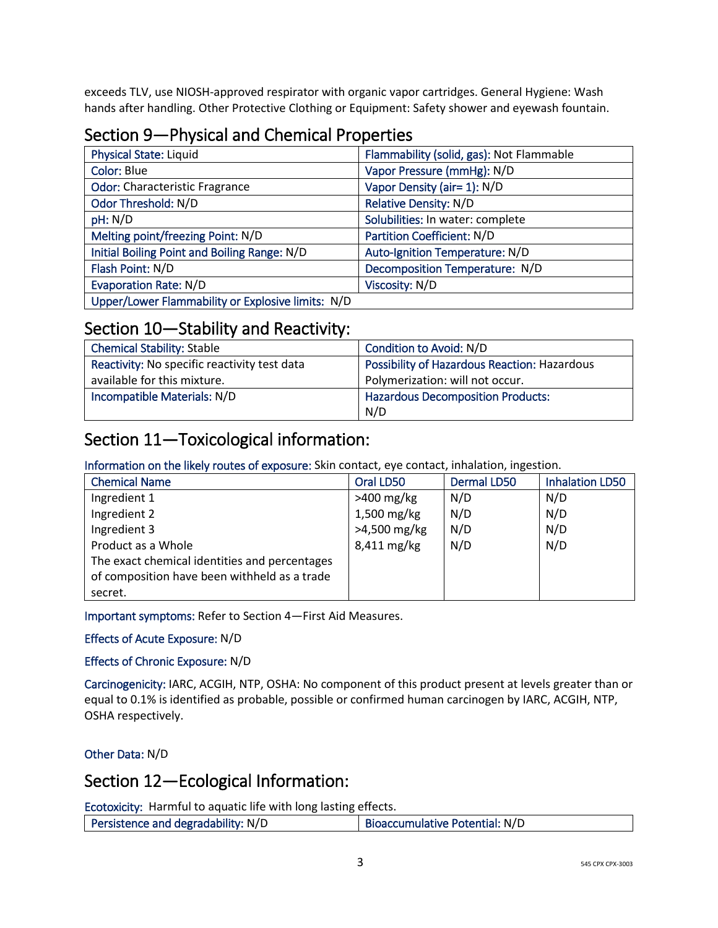exceeds TLV, use NIOSH-approved respirator with organic vapor cartridges. General Hygiene: Wash hands after handling. Other Protective Clothing or Equipment: Safety shower and eyewash fountain.

## Section 9—Physical and Chemical Properties

| <b>Physical State: Liquid</b>                     | Flammability (solid, gas): Not Flammable |
|---------------------------------------------------|------------------------------------------|
| Color: Blue                                       | Vapor Pressure (mmHg): N/D               |
| <b>Odor: Characteristic Fragrance</b>             | Vapor Density (air= 1): N/D              |
| Odor Threshold: N/D                               | <b>Relative Density: N/D</b>             |
| pH: N/D                                           | Solubilities: In water: complete         |
| Melting point/freezing Point: N/D                 | Partition Coefficient: N/D               |
| Initial Boiling Point and Boiling Range: N/D      | Auto-Ignition Temperature: N/D           |
| Flash Point: N/D                                  | Decomposition Temperature: N/D           |
| <b>Evaporation Rate: N/D</b>                      | Viscosity: N/D                           |
| Upper/Lower Flammability or Explosive limits: N/D |                                          |

#### Section 10—Stability and Reactivity:

| <b>Chemical Stability: Stable</b>            | Condition to Avoid: N/D                             |
|----------------------------------------------|-----------------------------------------------------|
| Reactivity: No specific reactivity test data | <b>Possibility of Hazardous Reaction: Hazardous</b> |
| available for this mixture.                  | Polymerization: will not occur.                     |
| Incompatible Materials: N/D                  | <b>Hazardous Decomposition Products:</b>            |
|                                              | N/D                                                 |

## Section 11—Toxicological information:

Information on the likely routes of exposure: Skin contact, eye contact, inhalation, ingestion.

| <b>Chemical Name</b>                          | Oral LD50    | <b>Dermal LD50</b> | <b>Inhalation LD50</b> |
|-----------------------------------------------|--------------|--------------------|------------------------|
| Ingredient 1                                  | $>400$ mg/kg | N/D                | N/D                    |
| Ingredient 2                                  | 1,500 mg/kg  | N/D                | N/D                    |
| Ingredient 3                                  | >4,500 mg/kg | N/D                | N/D                    |
| Product as a Whole                            | 8,411 mg/kg  | N/D                | N/D                    |
| The exact chemical identities and percentages |              |                    |                        |
| of composition have been withheld as a trade  |              |                    |                        |
| secret.                                       |              |                    |                        |

Important symptoms: Refer to Section 4—First Aid Measures.

Effects of Acute Exposure: N/D

Effects of Chronic Exposure: N/D

Carcinogenicity: IARC, ACGIH, NTP, OSHA: No component of this product present at levels greater than or equal to 0.1% is identified as probable, possible or confirmed human carcinogen by IARC, ACGIH, NTP, OSHA respectively.

Other Data: N/D

### Section 12—Ecological Information:

Ecotoxicity: Harmful to aquatic life with long lasting effects.

| Persistence and degradability: N/D<br>Bioaccumulative Potential: N/D |  |
|----------------------------------------------------------------------|--|